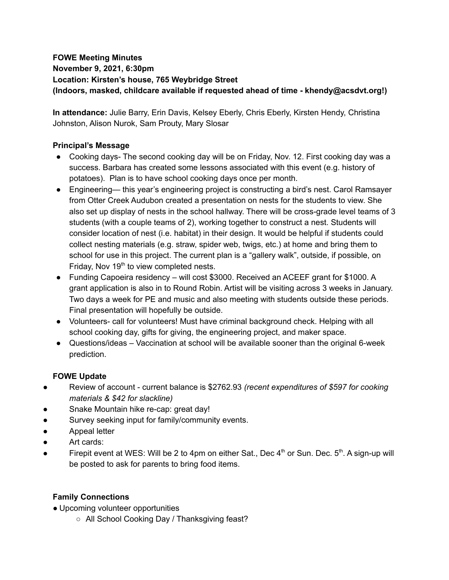# **FOWE Meeting Minutes**

**November 9, 2021, 6:30pm**

**Location: Kirsten's house, 765 Weybridge Street**

**(Indoors, masked, childcare available if requested ahead of time - khendy@acsdvt.org!)**

**In attendance:** Julie Barry, Erin Davis, Kelsey Eberly, Chris Eberly, Kirsten Hendy, Christina Johnston, Alison Nurok, Sam Prouty, Mary Slosar

## **Principal's Message**

- Cooking days- The second cooking day will be on Friday, Nov. 12. First cooking day was a success. Barbara has created some lessons associated with this event (e.g. history of potatoes). Plan is to have school cooking days once per month.
- Engineering— this year's engineering project is constructing a bird's nest. Carol Ramsayer from Otter Creek Audubon created a presentation on nests for the students to view. She also set up display of nests in the school hallway. There will be cross-grade level teams of 3 students (with a couple teams of 2), working together to construct a nest. Students will consider location of nest (i.e. habitat) in their design. It would be helpful if students could collect nesting materials (e.g. straw, spider web, twigs, etc.) at home and bring them to school for use in this project. The current plan is a "gallery walk", outside, if possible, on Friday, Nov 19<sup>th</sup> to view completed nests.
- Funding Capoeira residency will cost \$3000. Received an ACEEF grant for \$1000. A grant application is also in to Round Robin. Artist will be visiting across 3 weeks in January. Two days a week for PE and music and also meeting with students outside these periods. Final presentation will hopefully be outside.
- Volunteers- call for volunteers! Must have criminal background check. Helping with all school cooking day, gifts for giving, the engineering project, and maker space.
- Questions/ideas Vaccination at school will be available sooner than the original 6-week prediction.

## **FOWE Update**

- Review of account current balance is \$2762.93 *(recent expenditures of \$597 for cooking materials & \$42 for slackline)*
- Snake Mountain hike re-cap: great day!
- Survey seeking input for family/community events.
- Appeal letter
- Art cards:
- Firepit event at WES: Will be 2 to 4pm on either Sat., Dec  $4^{\text{th}}$  or Sun. Dec.  $5^{\text{th}}$ . A sign-up will be posted to ask for parents to bring food items.

# **Family Connections**

- Upcoming volunteer opportunities
	- All School Cooking Day / Thanksgiving feast?